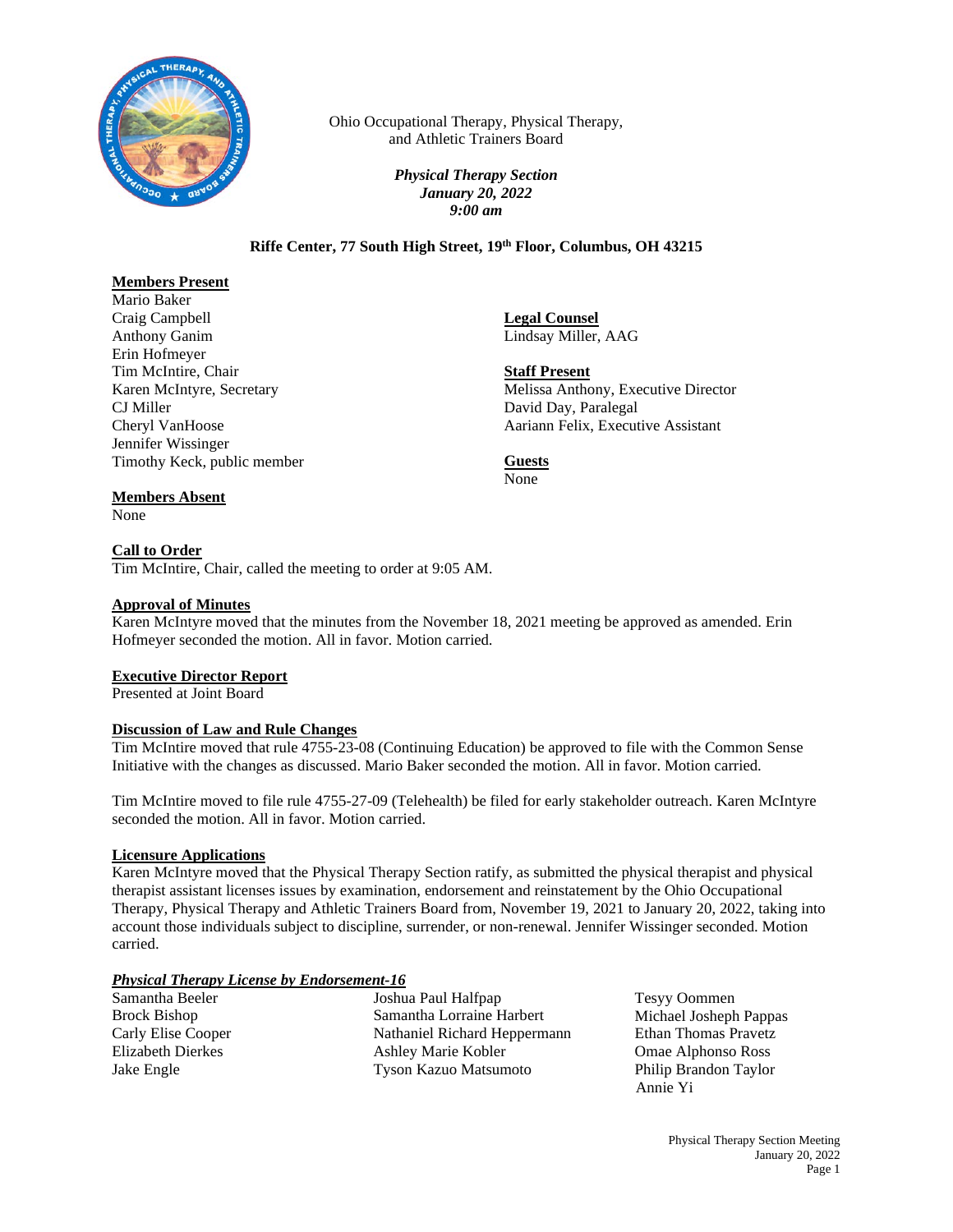

Ohio Occupational Therapy, Physical Therapy, and Athletic Trainers Board

> *Physical Therapy Section January 20, 2022 9:00 am*

## **Riffe Center, 77 South High Street, 19th Floor, Columbus, OH 43215**

# **Members Present**

Mario Baker Craig Campbell Anthony Ganim Erin Hofmeyer Tim McIntire, Chair Karen McIntyre, Secretary CJ Miller Cheryl VanHoose Jennifer Wissinger Timothy Keck, public member

**Legal Counsel** Lindsay Miller, AAG

**Staff Present** Melissa Anthony, Executive Director David Day, Paralegal Aariann Felix, Executive Assistant

**Guests** None

## **Members Absent**

None

## **Call to Order**

Tim McIntire, Chair, called the meeting to order at 9:05 AM.

### **Approval of Minutes**

Karen McIntyre moved that the minutes from the November 18, 2021 meeting be approved as amended. Erin Hofmeyer seconded the motion. All in favor. Motion carried.

## **Executive Director Report**

Presented at Joint Board

#### **Discussion of Law and Rule Changes**

Tim McIntire moved that rule 4755-23-08 (Continuing Education) be approved to file with the Common Sense Initiative with the changes as discussed. Mario Baker seconded the motion. All in favor. Motion carried.

Tim McIntire moved to file rule 4755-27-09 (Telehealth) be filed for early stakeholder outreach. Karen McIntyre seconded the motion. All in favor. Motion carried.

#### **Licensure Applications**

Karen McIntyre moved that the Physical Therapy Section ratify, as submitted the physical therapist and physical therapist assistant licenses issues by examination, endorsement and reinstatement by the Ohio Occupational Therapy, Physical Therapy and Athletic Trainers Board from, November 19, 2021 to January 20, 2022, taking into account those individuals subject to discipline, surrender, or non-renewal. Jennifer Wissinger seconded. Motion carried.

#### *Physical Therapy License by Endorsement-16*

| Joshua Paul Halfpap          |
|------------------------------|
| Samantha Lorraine Harbert    |
| Nathaniel Richard Heppermann |
| Ashley Marie Kobler          |
| <b>Tyson Kazuo Matsumoto</b> |
|                              |

Tesyy Oommen Michael Josheph Pappas Ethan Thomas Pravetz Omae Alphonso Ross Philip Brandon Taylor Annie Yi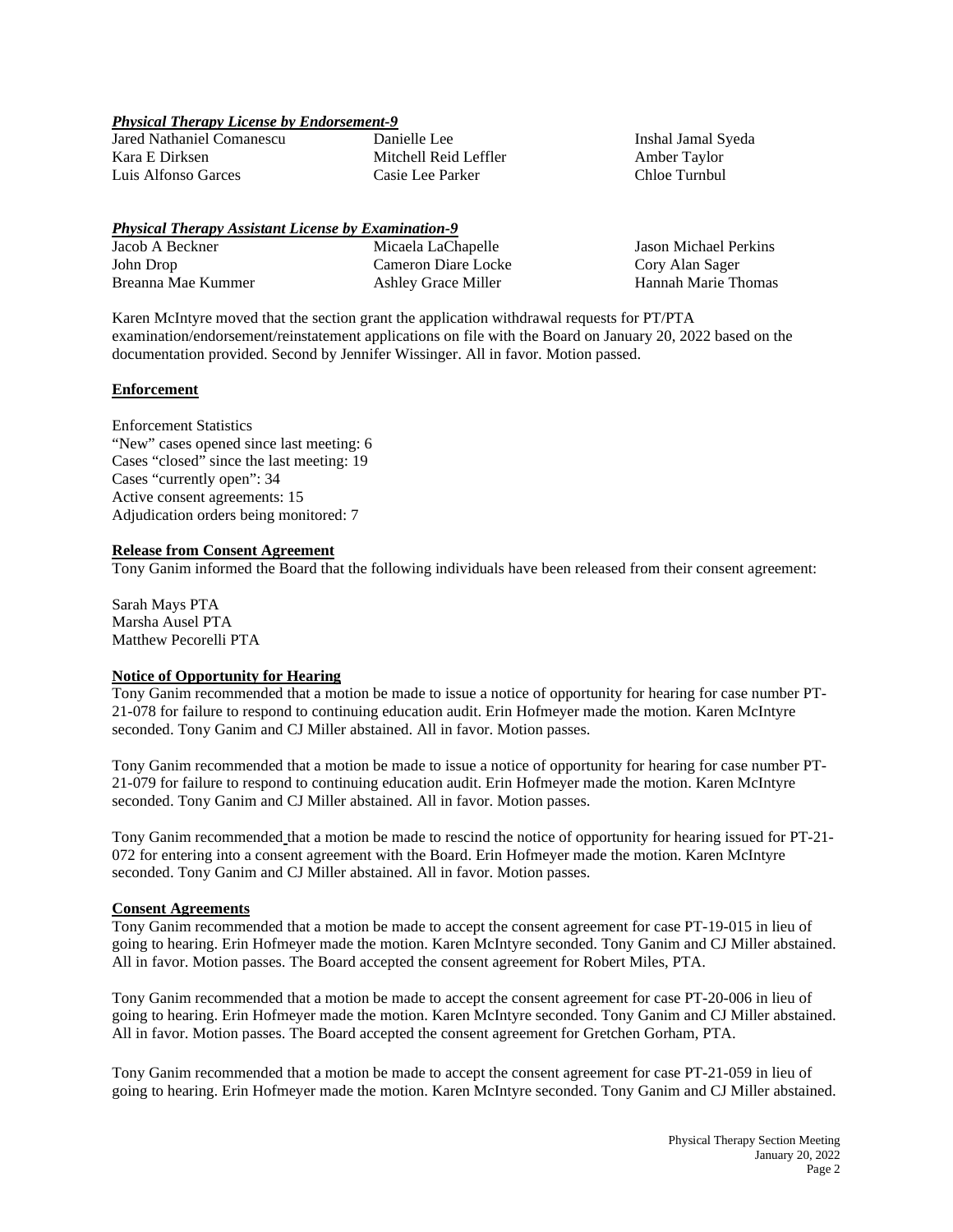### *Physical Therapy License by Endorsement-9*

Jared Nathaniel Comanescu Kara E Dirksen Luis Alfonso Garces

Danielle Lee Mitchell Reid Leffler Casie Lee Parker

Inshal Jamal Syeda Amber Taylor Chloe Turnbul

# *Physical Therapy Assistant License by Examination-9*

| Jacob A Beckner    | Micaela LaChapelle         | Jason Michael Perkins |
|--------------------|----------------------------|-----------------------|
| John Drop          | Cameron Diare Locke        | Cory Alan Sager       |
| Breanna Mae Kummer | <b>Ashley Grace Miller</b> | Hannah Marie Thomas   |

Karen McIntyre moved that the section grant the application withdrawal requests for PT/PTA examination/endorsement/reinstatement applications on file with the Board on January 20, 2022 based on the documentation provided. Second by Jennifer Wissinger. All in favor. Motion passed.

### **Enforcement**

Enforcement Statistics "New" cases opened since last meeting: 6 Cases "closed" since the last meeting: 19 Cases "currently open": 34 Active consent agreements: 15 Adjudication orders being monitored: 7

### **Release from Consent Agreement**

Tony Ganim informed the Board that the following individuals have been released from their consent agreement:

Sarah Mays PTA Marsha Ausel PTA Matthew Pecorelli PTA

## **Notice of Opportunity for Hearing**

Tony Ganim recommended that a motion be made to issue a notice of opportunity for hearing for case number PT-21-078 for failure to respond to continuing education audit. Erin Hofmeyer made the motion. Karen McIntyre seconded. Tony Ganim and CJ Miller abstained. All in favor. Motion passes.

Tony Ganim recommended that a motion be made to issue a notice of opportunity for hearing for case number PT-21-079 for failure to respond to continuing education audit. Erin Hofmeyer made the motion. Karen McIntyre seconded. Tony Ganim and CJ Miller abstained. All in favor. Motion passes.

Tony Ganim recommended that a motion be made to rescind the notice of opportunity for hearing issued for PT-21- 072 for entering into a consent agreement with the Board. Erin Hofmeyer made the motion. Karen McIntyre seconded. Tony Ganim and CJ Miller abstained. All in favor. Motion passes.

#### **Consent Agreements**

Tony Ganim recommended that a motion be made to accept the consent agreement for case PT-19-015 in lieu of going to hearing. Erin Hofmeyer made the motion. Karen McIntyre seconded. Tony Ganim and CJ Miller abstained. All in favor. Motion passes. The Board accepted the consent agreement for Robert Miles, PTA.

Tony Ganim recommended that a motion be made to accept the consent agreement for case PT-20-006 in lieu of going to hearing. Erin Hofmeyer made the motion. Karen McIntyre seconded. Tony Ganim and CJ Miller abstained. All in favor. Motion passes. The Board accepted the consent agreement for Gretchen Gorham, PTA.

Tony Ganim recommended that a motion be made to accept the consent agreement for case PT-21-059 in lieu of going to hearing. Erin Hofmeyer made the motion. Karen McIntyre seconded. Tony Ganim and CJ Miller abstained.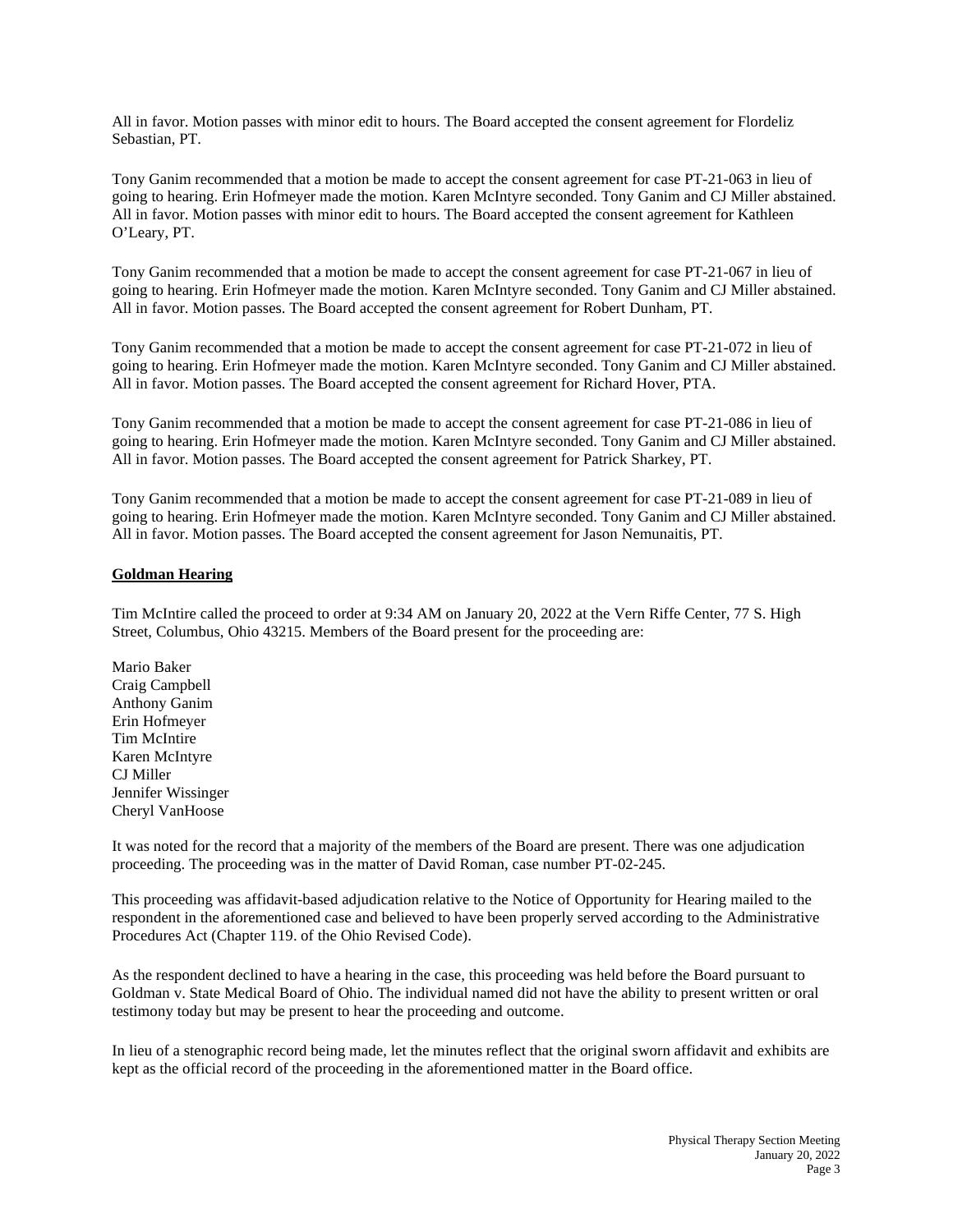All in favor. Motion passes with minor edit to hours. The Board accepted the consent agreement for Flordeliz Sebastian, PT.

Tony Ganim recommended that a motion be made to accept the consent agreement for case PT-21-063 in lieu of going to hearing. Erin Hofmeyer made the motion. Karen McIntyre seconded. Tony Ganim and CJ Miller abstained. All in favor. Motion passes with minor edit to hours. The Board accepted the consent agreement for Kathleen O'Leary, PT.

Tony Ganim recommended that a motion be made to accept the consent agreement for case PT-21-067 in lieu of going to hearing. Erin Hofmeyer made the motion. Karen McIntyre seconded. Tony Ganim and CJ Miller abstained. All in favor. Motion passes. The Board accepted the consent agreement for Robert Dunham, PT.

Tony Ganim recommended that a motion be made to accept the consent agreement for case PT-21-072 in lieu of going to hearing. Erin Hofmeyer made the motion. Karen McIntyre seconded. Tony Ganim and CJ Miller abstained. All in favor. Motion passes. The Board accepted the consent agreement for Richard Hover, PTA.

Tony Ganim recommended that a motion be made to accept the consent agreement for case PT-21-086 in lieu of going to hearing. Erin Hofmeyer made the motion. Karen McIntyre seconded. Tony Ganim and CJ Miller abstained. All in favor. Motion passes. The Board accepted the consent agreement for Patrick Sharkey, PT.

Tony Ganim recommended that a motion be made to accept the consent agreement for case PT-21-089 in lieu of going to hearing. Erin Hofmeyer made the motion. Karen McIntyre seconded. Tony Ganim and CJ Miller abstained. All in favor. Motion passes. The Board accepted the consent agreement for Jason Nemunaitis, PT.

### **Goldman Hearing**

Tim McIntire called the proceed to order at 9:34 AM on January 20, 2022 at the Vern Riffe Center, 77 S. High Street, Columbus, Ohio 43215. Members of the Board present for the proceeding are:

Mario Baker Craig Campbell Anthony Ganim Erin Hofmeyer Tim McIntire Karen McIntyre CJ Miller Jennifer Wissinger Cheryl VanHoose

It was noted for the record that a majority of the members of the Board are present. There was one adjudication proceeding. The proceeding was in the matter of David Roman, case number PT-02-245.

This proceeding was affidavit-based adjudication relative to the Notice of Opportunity for Hearing mailed to the respondent in the aforementioned case and believed to have been properly served according to the Administrative Procedures Act (Chapter 119. of the Ohio Revised Code).

As the respondent declined to have a hearing in the case, this proceeding was held before the Board pursuant to Goldman v. State Medical Board of Ohio. The individual named did not have the ability to present written or oral testimony today but may be present to hear the proceeding and outcome.

In lieu of a stenographic record being made, let the minutes reflect that the original sworn affidavit and exhibits are kept as the official record of the proceeding in the aforementioned matter in the Board office.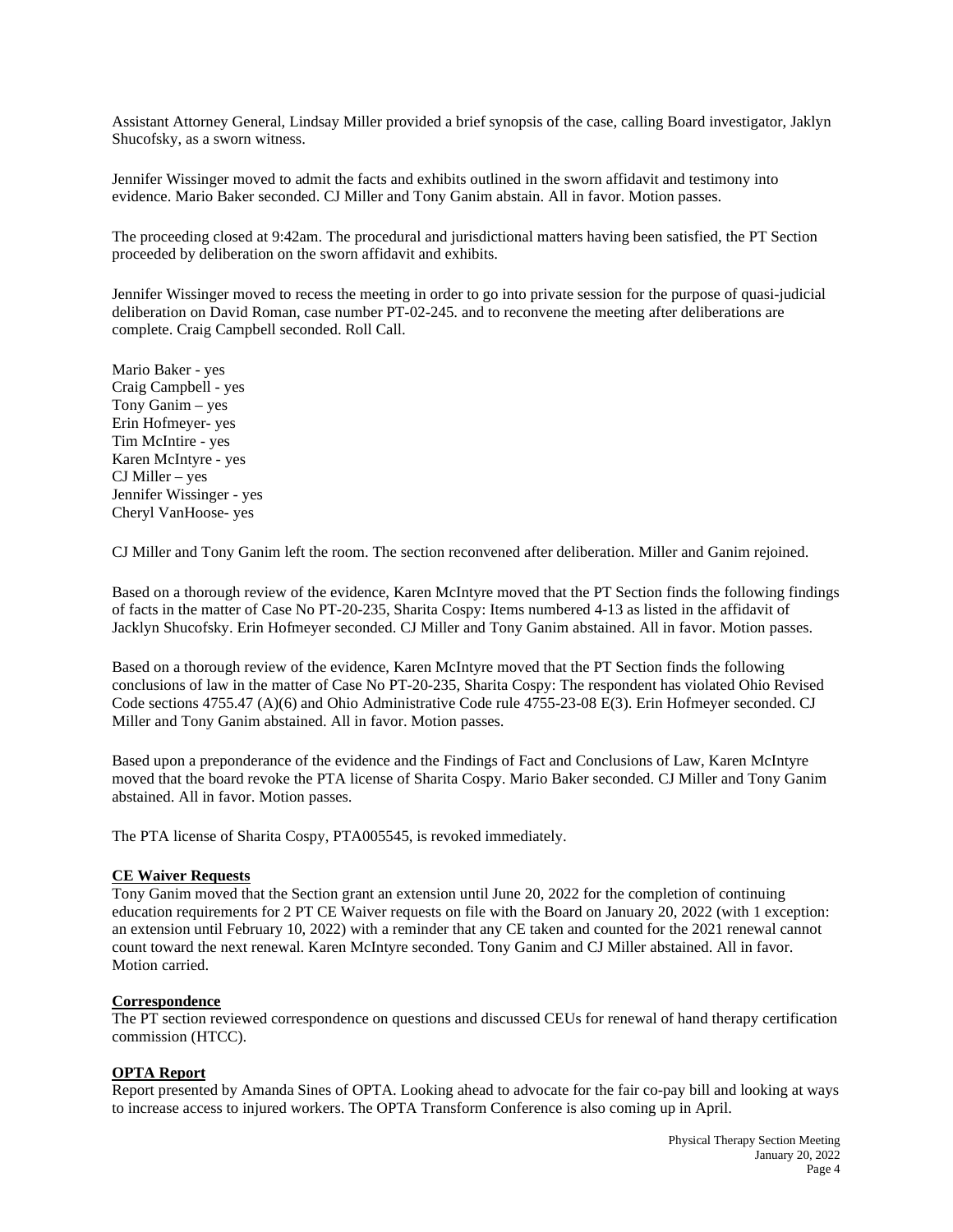Assistant Attorney General, Lindsay Miller provided a brief synopsis of the case, calling Board investigator, Jaklyn Shucofsky, as a sworn witness.

Jennifer Wissinger moved to admit the facts and exhibits outlined in the sworn affidavit and testimony into evidence. Mario Baker seconded. CJ Miller and Tony Ganim abstain. All in favor. Motion passes.

The proceeding closed at 9:42am. The procedural and jurisdictional matters having been satisfied, the PT Section proceeded by deliberation on the sworn affidavit and exhibits.

Jennifer Wissinger moved to recess the meeting in order to go into private session for the purpose of quasi-judicial deliberation on David Roman, case number PT-02-245. and to reconvene the meeting after deliberations are complete. Craig Campbell seconded. Roll Call.

Mario Baker - yes Craig Campbell - yes Tony Ganim – yes Erin Hofmeyer- yes Tim McIntire - yes Karen McIntyre - yes CJ Miller – yes Jennifer Wissinger - yes Cheryl VanHoose- yes

CJ Miller and Tony Ganim left the room. The section reconvened after deliberation. Miller and Ganim rejoined.

Based on a thorough review of the evidence, Karen McIntyre moved that the PT Section finds the following findings of facts in the matter of Case No PT-20-235, Sharita Cospy: Items numbered 4-13 as listed in the affidavit of Jacklyn Shucofsky. Erin Hofmeyer seconded. CJ Miller and Tony Ganim abstained. All in favor. Motion passes.

Based on a thorough review of the evidence, Karen McIntyre moved that the PT Section finds the following conclusions of law in the matter of Case No PT-20-235, Sharita Cospy: The respondent has violated Ohio Revised Code sections 4755.47 (A)(6) and Ohio Administrative Code rule 4755-23-08 E(3). Erin Hofmeyer seconded. CJ Miller and Tony Ganim abstained. All in favor. Motion passes.

Based upon a preponderance of the evidence and the Findings of Fact and Conclusions of Law, Karen McIntyre moved that the board revoke the PTA license of Sharita Cospy. Mario Baker seconded. CJ Miller and Tony Ganim abstained. All in favor. Motion passes.

The PTA license of Sharita Cospy, PTA005545, is revoked immediately.

## **CE Waiver Requests**

Tony Ganim moved that the Section grant an extension until June 20, 2022 for the completion of continuing education requirements for 2 PT CE Waiver requests on file with the Board on January 20, 2022 (with 1 exception: an extension until February 10, 2022) with a reminder that any CE taken and counted for the 2021 renewal cannot count toward the next renewal. Karen McIntyre seconded. Tony Ganim and CJ Miller abstained. All in favor. Motion carried.

#### **Correspondence**

The PT section reviewed correspondence on questions and discussed CEUs for renewal of hand therapy certification commission (HTCC).

# **OPTA Report**

Report presented by Amanda Sines of OPTA. Looking ahead to advocate for the fair co-pay bill and looking at ways to increase access to injured workers. The OPTA Transform Conference is also coming up in April.